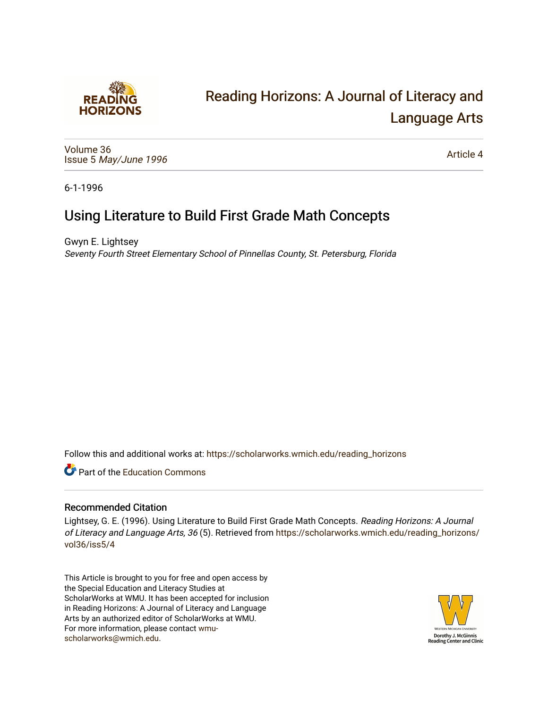

# [Reading Horizons: A Journal of Literacy and](https://scholarworks.wmich.edu/reading_horizons)  [Language Arts](https://scholarworks.wmich.edu/reading_horizons)

[Volume 36](https://scholarworks.wmich.edu/reading_horizons/vol36) Issue 5 [May/June 1996](https://scholarworks.wmich.edu/reading_horizons/vol36/iss5) 

[Article 4](https://scholarworks.wmich.edu/reading_horizons/vol36/iss5/4) 

6-1-1996

## Using Literature to Build First Grade Math Concepts

Gwyn E. Lightsey Seventy Fourth Street Elementary School of Pinnellas County, St. Petersburg, Florida

Follow this and additional works at: [https://scholarworks.wmich.edu/reading\\_horizons](https://scholarworks.wmich.edu/reading_horizons?utm_source=scholarworks.wmich.edu%2Freading_horizons%2Fvol36%2Fiss5%2F4&utm_medium=PDF&utm_campaign=PDFCoverPages)

**C** Part of the [Education Commons](http://network.bepress.com/hgg/discipline/784?utm_source=scholarworks.wmich.edu%2Freading_horizons%2Fvol36%2Fiss5%2F4&utm_medium=PDF&utm_campaign=PDFCoverPages)

#### Recommended Citation

Lightsey, G. E. (1996). Using Literature to Build First Grade Math Concepts. Reading Horizons: A Journal of Literacy and Language Arts, 36 (5). Retrieved from [https://scholarworks.wmich.edu/reading\\_horizons/](https://scholarworks.wmich.edu/reading_horizons/vol36/iss5/4?utm_source=scholarworks.wmich.edu%2Freading_horizons%2Fvol36%2Fiss5%2F4&utm_medium=PDF&utm_campaign=PDFCoverPages) [vol36/iss5/4](https://scholarworks.wmich.edu/reading_horizons/vol36/iss5/4?utm_source=scholarworks.wmich.edu%2Freading_horizons%2Fvol36%2Fiss5%2F4&utm_medium=PDF&utm_campaign=PDFCoverPages)

This Article is brought to you for free and open access by the Special Education and Literacy Studies at ScholarWorks at WMU. It has been accepted for inclusion in Reading Horizons: A Journal of Literacy and Language Arts by an authorized editor of ScholarWorks at WMU. For more information, please contact [wmu](mailto:wmu-scholarworks@wmich.edu)[scholarworks@wmich.edu.](mailto:wmu-scholarworks@wmich.edu)

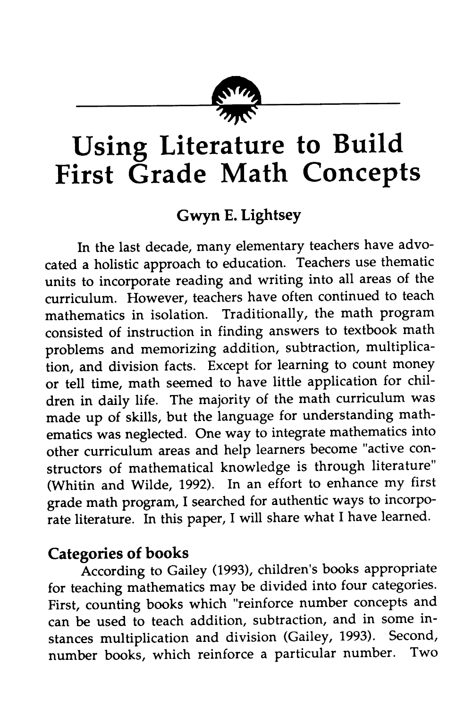

# *Using Literature to Build First Grade Math Concepts*

### *Gwyn E. Lightsey*

In the last decade, many elementary teachers have advo cated a holistic approach to education. Teachers use thematic units to incorporate reading and writing into all areas of the curriculum. However, teachers have often continued to teach mathematics in isolation. Traditionally, the math program consisted of instruction in finding answers to textbook math problems and memorizing addition, subtraction, multiplica tion, and division facts. Except for learning to count money or tell time, math seemed to have little application for chil dren in daily life. The majority of the math curriculum was made up of skills, but the language for understanding math ematics was neglected. One way to integrate mathematics into other curriculum areas and help learners become "active con structors of mathematical knowledge is through literature" (Whitin and Wilde, 1992). In an effort to enhance my first grade math program, I searched for authentic ways to incorpo rate literature. In this paper, I will share what I have learned.

#### *Categories of books*

According to Gailey (1993), children's books appropriate for teaching mathematics may be divided into four categories. First, counting books which "reinforce number concepts and can be used to teach addition, subtraction, and in some in stances multiplication and division (Gailey, 1993). Second, number books, which reinforce a particular number. Two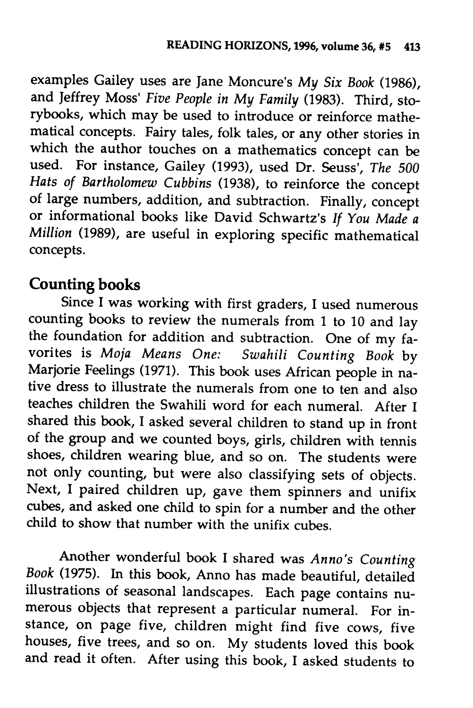examples Gailey uses are Jane Moncure's **My Six Book** (1986), and Jeffrey Moss' **Five People in My Family** (1983). Third, sto rybooks, which may be used to introduce or reinforce mathe matical concepts. Fairy tales, folk tales, or any other stories in which the author touches on a mathematics concept can be used. For instance, Gailey (1993), used Dr. Seuss', **The 500 Hats of Bartholomew Cubbins** (1938), to reinforce the concept of large numbers, addition, and subtraction. Finally, concept or informational books like David Schwartz's // **You Made a Million** (1989), are useful in exploring specific mathematical concepts.

#### *Counting books*

Since I was working with first graders, I used numerous counting books to review the numerals from 1 to 10 and lay the foundation for addition and subtraction. One of my fa vorites is **Moja Means One: Swahili Counting Book** by Marjorie Feelings (1971). This book uses African people in na tive dress to illustrate the numerals from one to ten and also teaches children the Swahili word for each numeral. After I shared this book, I asked several children to stand up in front of the group and we counted boys, girls, children with tennis shoes, children wearing blue, and so on. The students were not only counting, but were also classifying sets of objects. Next, I paired children up, gave them spinners and unifix cubes, and asked one child to spin for a number and the other child to show that number with the unifix cubes.

Another wonderful book I shared was **Anno's Counting Book** (1975). In this book, Anno has made beautiful, detailed illustrations of seasonal landscapes. Each page contains nu merous objects that represent a particular numeral. For in stance, on page five, children might find five cows, five houses, five trees, and so on. My students loved this book and read it often. After using this book, I asked students to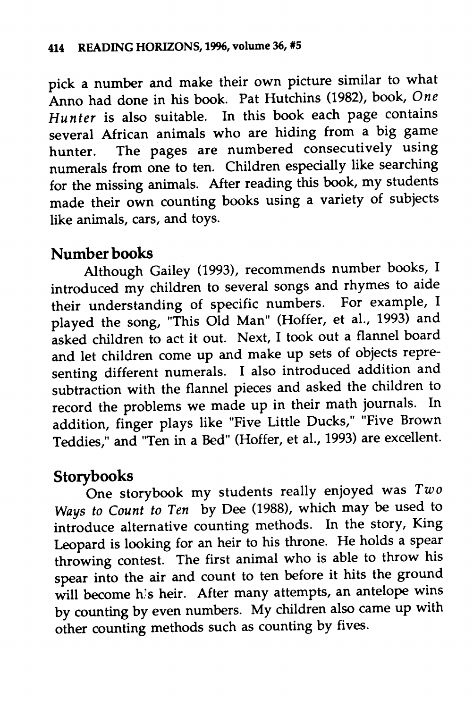*pick a number and make their own picture similar to what Anno had done in his book. Pat Hutchins (1982), book, One Hunter is also suitable. In this book each page contains several African animals who are hiding from a big game hunter. The pages are numbered consecutively using numerals from one to ten. Children especially like searching for the missing animals. After reading this book, my students made their own counting books using a variety of subjects like animals, cars, and toys.*

#### *Number books*

*Although Gailey (1993), recommends number books, I introduced my children to several songs and rhymes to aide their understanding of specific numbers. For example, I played the song, "This Old Man" (Hoffer, et al., 1993) and asked children to act it out. Next, I took out a flannel board and let children come up and make up sets of objects repre senting different numerals. I also introduced addition and subtraction with the flannel pieces and asked the children to record the problems we made up in their math journals. In addition, finger plays like "Five Little Ducks," "Five Brown Teddies," and 'Ten in a Bed" (Hoffer, et al., 1993) are excellent.*

*Storybooks One storybook my students really enjoyed was Two Ways to Count to Ten by Dee (1988), which may be used to introduce alternative counting methods. In the story, King Leopard is looking for an heir to his throne. He holds a spear throwing contest. The first animal who is able to throw his spear into the air and count to ten before it hits the ground* will become his heir. After many attempts, an antelope wins *by counting by even numbers. My children also came up with other counting methods such as counting by fives.*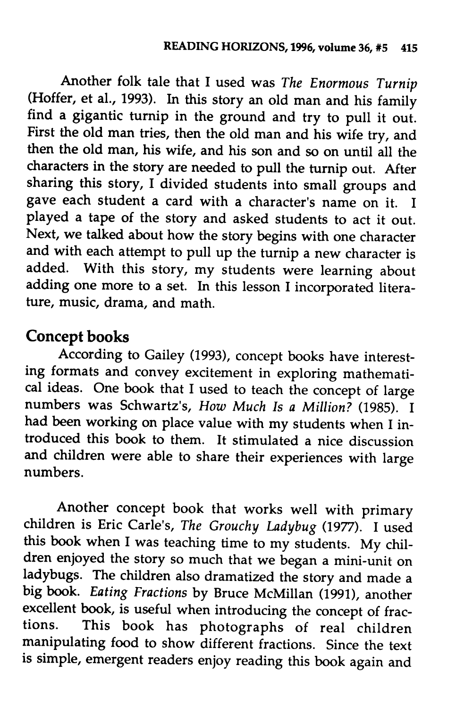*Another folk tale that I used was The Enormous Turnip (Hoffer, et al., 1993). In this story an old man and his family find a gigantic turnip in the ground and try to pull it out. First the old man tries, then the old man and his wife try, and then the old man, his wife, and his son and so on until all the characters in the story are needed to pull the turnip out. After sharing this story, I divided students into small groups and gave each student a card with a character's name on it. I played a tape of the story and asked students to act it out. Next, we talked about how the story begins with one character and with each attempt to pull up the turnip a new character is added. With this story, my students were learning about adding one more to a set. In this lesson I incorporated litera ture, music, drama, and math.*

#### *Concept books*

*According to Gailey (1993), concept books have interest ing formats and convey excitement in exploring mathemati cal ideas. One book that I used to teach the concept of large numbers was Schwartz's, How Much Is a Million? (1985). I had been working on place value with my students when I in troduced this book to them. It stimulated a nice discussion and children were able to share their experiences with large numbers.*

*Another concept book that works well with primary children is Eric Carle's, The Grouchy Ladybug (1977). I used this book when I was teaching time to my students. My chil dren enjoyed the story so much that we began a mini-unit on ladybugs. The children also dramatized the story and made a big book. Eating Fractions by Bruce McMillan (1991), another excellent book, is useful when introducing the concept of frac tions. This book has photographs of real children manipulating food to show different fractions. Since the text is simple, emergent readers enjoy reading this book again and*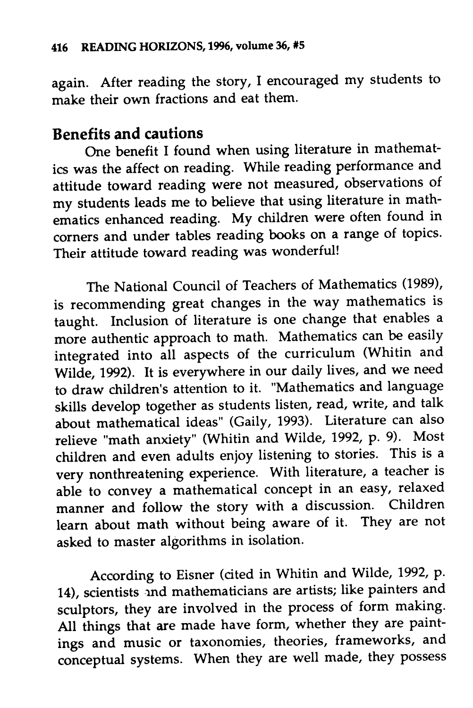again. After reading the story, I encouraged my students to make their own fractions and eat them.

#### *Benefits and cautions*

One benefit I found when using literature in mathemat ics was the affect on reading. While reading performance and attitude toward reading were not measured, observations of my students leads me to believe that using literature in math ematics enhanced reading. My children were often found in corners and under tables reading books on a range of topics. Their attitude toward reading was wonderful!

The National Council of Teachers of Mathematics (1989), is recommending great changes in the way mathematics is taught. Inclusion of literature is one change that enables a more authentic approach to math. Mathematics can be easily integrated into all aspects of the curriculum (Whitin and Wilde, 1992). It is everywhere in our daily lives, and we need to draw children's attention to it. "Mathematics and language skills develop together as students listen, read, write, and talk about mathematical ideas" (Gaily, 1993). Literature can also relieve "math anxiety" (Whitin and Wilde, 1992, p. 9). Most children and even adults enjoy listening to stories. This is a very nonthreatening experience. With literature, a teacher is able to convey a mathematical concept in an easy, relaxed manner and follow the story with a discussion. Children learn about math without being aware of it. They are not asked to master algorithms in isolation.

According to Eisner (cited in Whitin and Wilde, 1992, p. 14), scientists ind mathematicians are artists; like painters and sculptors, they are involved in the process of form making. All things that are made have form, whether they are paint ings and music or taxonomies, theories, frameworks, and conceptual systems. When they are well made, they possess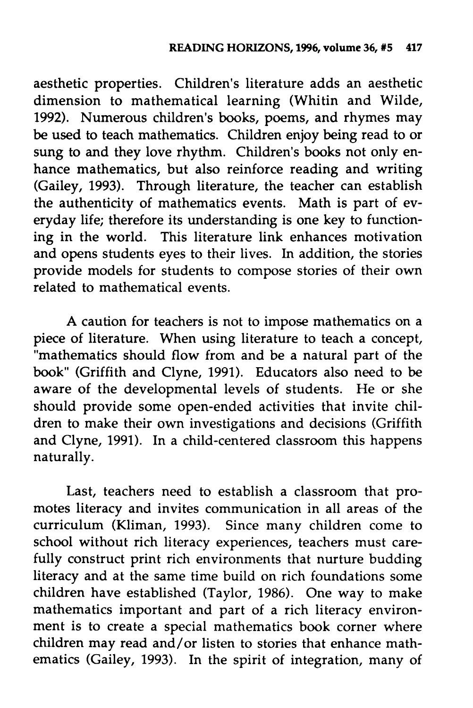aesthetic properties. Children's literature adds an aesthetic dimension to mathematical learning (Whitin and Wilde, 1992). Numerous children's books, poems, and rhymes may be used to teach mathematics. Children enjoy being read to or sung to and they love rhythm. Children's books not only enhance mathematics, but also reinforce reading and writing (Gailey, 1993). Through literature, the teacher can establish the authenticity of mathematics events. Math is part of ev eryday life; therefore its understanding is one key to function ing in the world. This literature link enhances motivation and opens students eyes to their lives. In addition, the stories provide models for students to compose stories of their own related to mathematical events.

A caution for teachers is not to impose mathematics on a piece of literature. When using literature to teach a concept, "mathematics should flow from and be a natural part of the book" (Griffith and Clyne, 1991). Educators also need to be aware of the developmental levels of students. He or she should provide some open-ended activities that invite chil dren to make their own investigations and decisions (Griffith and Clyne, 1991). In a child-centered classroom this happens naturally.

Last, teachers need to establish a classroom that pro motes literacy and invites communication in all areas of the curriculum (Kliman, 1993). Since many children come to school without rich literacy experiences, teachers must care fully construct print rich environments that nurture budding literacy and at the same time build on rich foundations some children have established (Taylor, 1986). One way to make mathematics important and part of a rich literacy environ ment is to create a special mathematics book corner where children may read and/or listen to stories that enhance math ematics (Gailey, 1993). In the spirit of integration, many of